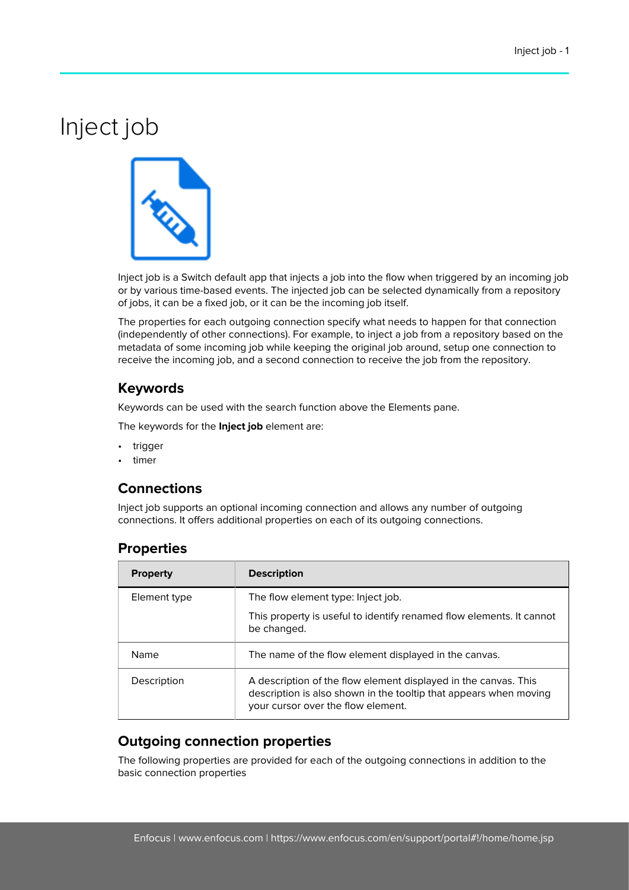# Inject job



Inject job is a Switch default app that injects a job into the flow when triggered by an incoming job or by various time-based events. The injected job can be selected dynamically from a repository of jobs, it can be a fixed job, or it can be the incoming job itself.

The properties for each outgoing connection specify what needs to happen for that connection (independently of other connections). For example, to inject a job from a repository based on the metadata of some incoming job while keeping the original job around, setup one connection to receive the incoming job, and a second connection to receive the job from the repository.

# **Keywords**

Keywords can be used with the search function above the Elements pane.

The keywords for the **Inject job** element are:

- trigger
- timer

# **Connections**

Inject job supports an optional incoming connection and allows any number of outgoing connections. It offers additional properties on each of its outgoing connections.

### **Properties**

| <b>Property</b> | <b>Description</b>                                                                                                                                                         |
|-----------------|----------------------------------------------------------------------------------------------------------------------------------------------------------------------------|
| Element type    | The flow element type: Inject job.                                                                                                                                         |
|                 | This property is useful to identify renamed flow elements. It cannot<br>be changed.                                                                                        |
| Name            | The name of the flow element displayed in the canvas.                                                                                                                      |
| Description     | A description of the flow element displayed in the canvas. This<br>description is also shown in the tooltip that appears when moving<br>your cursor over the flow element. |

### **Outgoing connection properties**

The following properties are provided for each of the outgoing connections in addition to the basic connection properties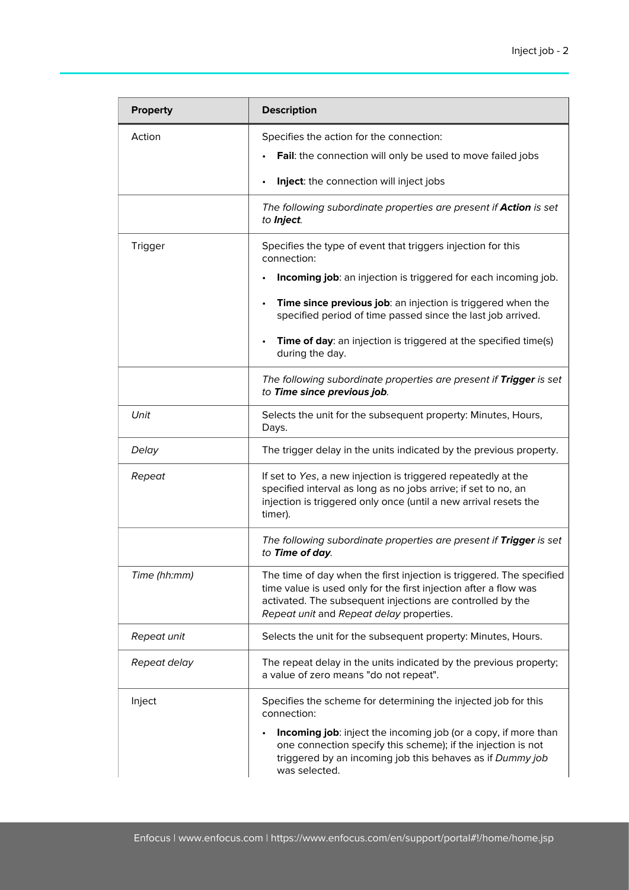| <b>Property</b> | <b>Description</b>                                                                                                                                                                                                                                 |
|-----------------|----------------------------------------------------------------------------------------------------------------------------------------------------------------------------------------------------------------------------------------------------|
| Action          | Specifies the action for the connection:<br>Fail: the connection will only be used to move failed jobs                                                                                                                                             |
|                 | Inject: the connection will inject jobs<br>The following subordinate properties are present if <b>Action</b> is set<br>to Inject.                                                                                                                  |
| Trigger         | Specifies the type of event that triggers injection for this<br>connection:<br>Incoming job: an injection is triggered for each incoming job.                                                                                                      |
|                 | Time since previous job: an injection is triggered when the<br>specified period of time passed since the last job arrived.<br>Time of day: an injection is triggered at the specified time(s)<br>during the day.                                   |
|                 | The following subordinate properties are present if Trigger is set<br>to Time since previous job.                                                                                                                                                  |
| Unit            | Selects the unit for the subsequent property: Minutes, Hours,<br>Days.                                                                                                                                                                             |
| Delay           | The trigger delay in the units indicated by the previous property.                                                                                                                                                                                 |
| Repeat          | If set to Yes, a new injection is triggered repeatedly at the<br>specified interval as long as no jobs arrive; if set to no, an<br>injection is triggered only once (until a new arrival resets the<br>timer).                                     |
|                 | The following subordinate properties are present if Trigger is set<br>to Time of day.                                                                                                                                                              |
| Time (hh:mm)    | The time of day when the first injection is triggered. The specified<br>time value is used only for the first injection after a flow was<br>activated. The subsequent injections are controlled by the<br>Repeat unit and Repeat delay properties. |
| Repeat unit     | Selects the unit for the subsequent property: Minutes, Hours.                                                                                                                                                                                      |
| Repeat delay    | The repeat delay in the units indicated by the previous property;<br>a value of zero means "do not repeat".                                                                                                                                        |
| Inject          | Specifies the scheme for determining the injected job for this<br>connection:                                                                                                                                                                      |
|                 | Incoming job: inject the incoming job (or a copy, if more than<br>one connection specify this scheme); if the injection is not<br>triggered by an incoming job this behaves as if Dummy job<br>was selected.                                       |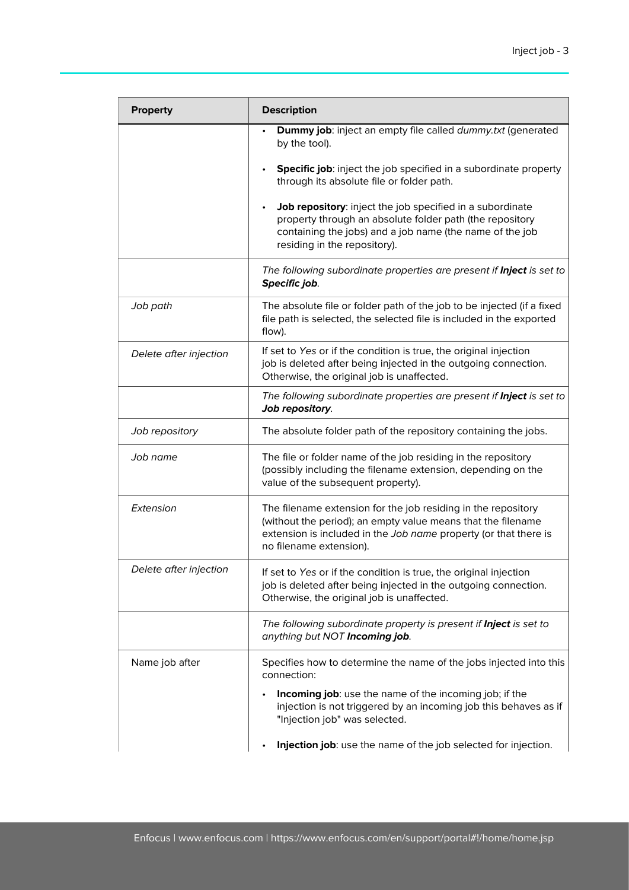| <b>Property</b>        | <b>Description</b>                                                                                                                                                                                                           |
|------------------------|------------------------------------------------------------------------------------------------------------------------------------------------------------------------------------------------------------------------------|
|                        | Dummy job: inject an empty file called dummy.txt (generated<br>by the tool).                                                                                                                                                 |
|                        | Specific job: inject the job specified in a subordinate property<br>through its absolute file or folder path.                                                                                                                |
|                        | Job repository: inject the job specified in a subordinate<br>property through an absolute folder path (the repository<br>containing the jobs) and a job name (the name of the job<br>residing in the repository).            |
|                        | The following subordinate properties are present if <b>Inject</b> is set to<br>Specific job.                                                                                                                                 |
| Job path               | The absolute file or folder path of the job to be injected (if a fixed<br>file path is selected, the selected file is included in the exported<br>flow).                                                                     |
| Delete after injection | If set to Yes or if the condition is true, the original injection<br>job is deleted after being injected in the outgoing connection.<br>Otherwise, the original job is unaffected.                                           |
|                        | The following subordinate properties are present if <b>Inject</b> is set to<br>Job repository.                                                                                                                               |
| Job repository         | The absolute folder path of the repository containing the jobs.                                                                                                                                                              |
| Job name               | The file or folder name of the job residing in the repository<br>(possibly including the filename extension, depending on the<br>value of the subsequent property).                                                          |
| Extension              | The filename extension for the job residing in the repository<br>(without the period); an empty value means that the filename<br>extension is included in the Job name property (or that there is<br>no filename extension). |
| Delete after injection | If set to Yes or if the condition is true, the original injection<br>job is deleted after being injected in the outgoing connection.<br>Otherwise, the original job is unaffected.                                           |
|                        | The following subordinate property is present if <b>Inject</b> is set to<br>anything but NOT Incoming job.                                                                                                                   |
| Name job after         | Specifies how to determine the name of the jobs injected into this<br>connection:                                                                                                                                            |
|                        | <b>Incoming job:</b> use the name of the incoming job; if the<br>injection is not triggered by an incoming job this behaves as if<br>"Injection job" was selected.                                                           |
|                        | Injection job: use the name of the job selected for injection.                                                                                                                                                               |